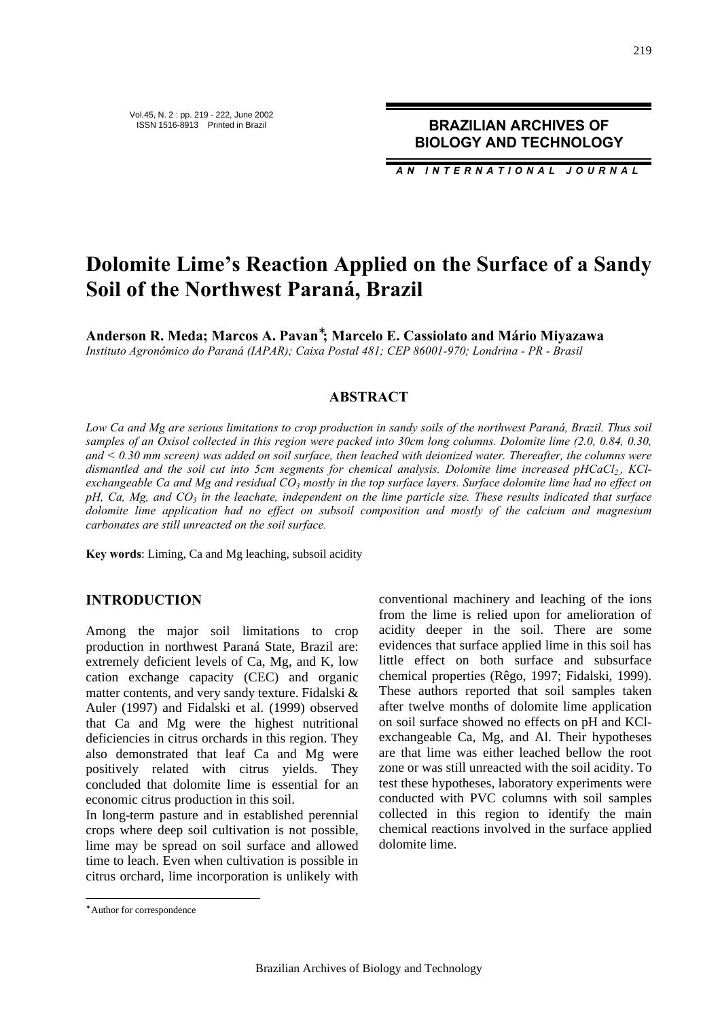*AN INTERNATIONAL JOURNAL*

# **Dolomite Lime's Reaction Applied on the Surface of a Sandy Soil of the Northwest Paraná, Brazil**

**Anderson R. Meda; Marcos A. Pavan**<sup>∗</sup> **; Marcelo E. Cassiolato and Mário Miyazawa** *Instituto Agronômico do Paraná (IAPAR); Caixa Postal 481; CEP 86001-970; Londrina - PR - Brasil*

## **ABSTRACT**

*Low Ca and Mg are serious limitations to crop production in sandy soils of the northwest Paraná, Brazil. Thus soil samples of an Oxisol collected in this region were packed into 30cm long columns. Dolomite lime (2.0, 0.84, 0.30, and < 0.30 mm screen) was added on soil surface, then leached with deionized water. Thereafter, the columns were dismantled and the soil cut into 5cm segments for chemical analysis. Dolomite lime increased pHCaCl2,, KClexchangeable Ca and Mg and residual CO3 mostly in the top surface layers. Surface dolomite lime had no effect on pH, Ca, Mg, and CO3 in the leachate, independent on the lime particle size. These results indicated that surface dolomite lime application had no effect on subsoil composition and mostly of the calcium and magnesium carbonates are still unreacted on the soil surface.*

**Key words**: Liming, Ca and Mg leaching, subsoil acidity

#### **INTRODUCTION**

Among the major soil limitations to crop production in northwest Paraná State, Brazil are: extremely deficient levels of Ca, Mg, and K, low cation exchange capacity (CEC) and organic matter contents, and very sandy texture. Fidalski & Auler (1997) and Fidalski et al. (1999) observed that Ca and Mg were the highest nutritional deficiencies in citrus orchards in this region. They also demonstrated that leaf Ca and Mg were positively related with citrus yields. They concluded that dolomite lime is essential for an economic citrus production in this soil.

In long-term pasture and in established perennial crops where deep soil cultivation is not possible, lime may be spread on soil surface and allowed time to leach. Even when cultivation is possible in citrus orchard, lime incorporation is unlikely with conventional machinery and leaching of the ions from the lime is relied upon for amelioration of acidity deeper in the soil. There are some evidences that surface applied lime in this soil has little effect on both surface and subsurface chemical properties (Rêgo, 1997; Fidalski, 1999). These authors reported that soil samples taken after twelve months of dolomite lime application on soil surface showed no effects on pH and KClexchangeable Ca, Mg, and Al. Their hypotheses are that lime was either leached bellow the root zone or was still unreacted with the soil acidity. To test these hypotheses, laboratory experiments were conducted with PVC columns with soil samples collected in this region to identify the main chemical reactions involved in the surface applied dolomite lime.

 $\overline{a}$ 

<sup>∗</sup> Author for correspondence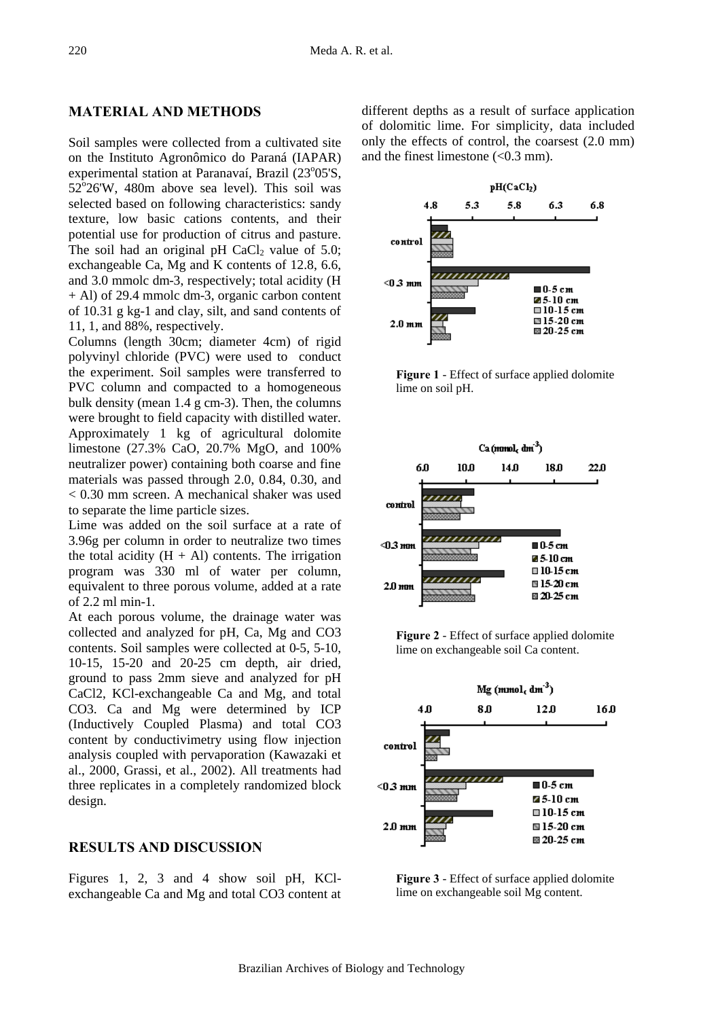### **MATERIAL AND METHODS**

Soil samples were collected from a cultivated site on the Instituto Agronômico do Paraná (IAPAR) experimental station at Paranavaí, Brazil (23°05'S,  $52^{\circ}$ 26'W, 480m above sea level). This soil was selected based on following characteristics: sandy texture, low basic cations contents, and their potential use for production of citrus and pasture. The soil had an original pH CaCl<sub>2</sub> value of 5.0; exchangeable Ca, Mg and K contents of 12.8, 6.6, and 3.0 mmolc dm-3, respectively; total acidity (H + Al) of 29.4 mmolc dm-3, organic carbon content of 10.31 g kg-1 and clay, silt, and sand contents of 11, 1, and 88%, respectively.

Columns (length 30cm; diameter 4cm) of rigid polyvinyl chloride (PVC) were used to conduct the experiment. Soil samples were transferred to PVC column and compacted to a homogeneous bulk density (mean 1.4 g cm-3). Then, the columns were brought to field capacity with distilled water. Approximately 1 kg of agricultural dolomite limestone (27.3% CaO, 20.7% MgO, and 100% neutralizer power) containing both coarse and fine materials was passed through 2.0, 0.84, 0.30, and < 0.30 mm screen. A mechanical shaker was used to separate the lime particle sizes.

Lime was added on the soil surface at a rate of 3.96g per column in order to neutralize two times the total acidity  $(H + Al)$  contents. The irrigation program was 330 ml of water per column, equivalent to three porous volume, added at a rate of 2.2 ml min-1.

At each porous volume, the drainage water was collected and analyzed for pH, Ca, Mg and CO3 contents. Soil samples were collected at 0-5, 5-10, 10-15, 15-20 and 20-25 cm depth, air dried, ground to pass 2mm sieve and analyzed for pH CaCl2, KCl-exchangeable Ca and Mg, and total CO3. Ca and Mg were determined by ICP (Inductively Coupled Plasma) and total CO3 content by conductivimetry using flow injection analysis coupled with pervaporation (Kawazaki et al., 2000, Grassi, et al., 2002). All treatments had three replicates in a completely randomized block design.

### **RESULTS AND DISCUSSION**

Figures 1, 2, 3 and 4 show soil pH, KClexchangeable Ca and Mg and total CO3 content at different depths as a result of surface application of dolomitic lime. For simplicity, data included only the effects of control, the coarsest (2.0 mm) and the finest limestone  $( $0.3 \text{ mm}$ ).$ 



**Figure 1** - Effect of surface applied dolomite lime on soil pH.



**Figure 2** - Effect of surface applied dolomite lime on exchangeable soil Ca content.



**Figure 3** - Effect of surface applied dolomite lime on exchangeable soil Mg content.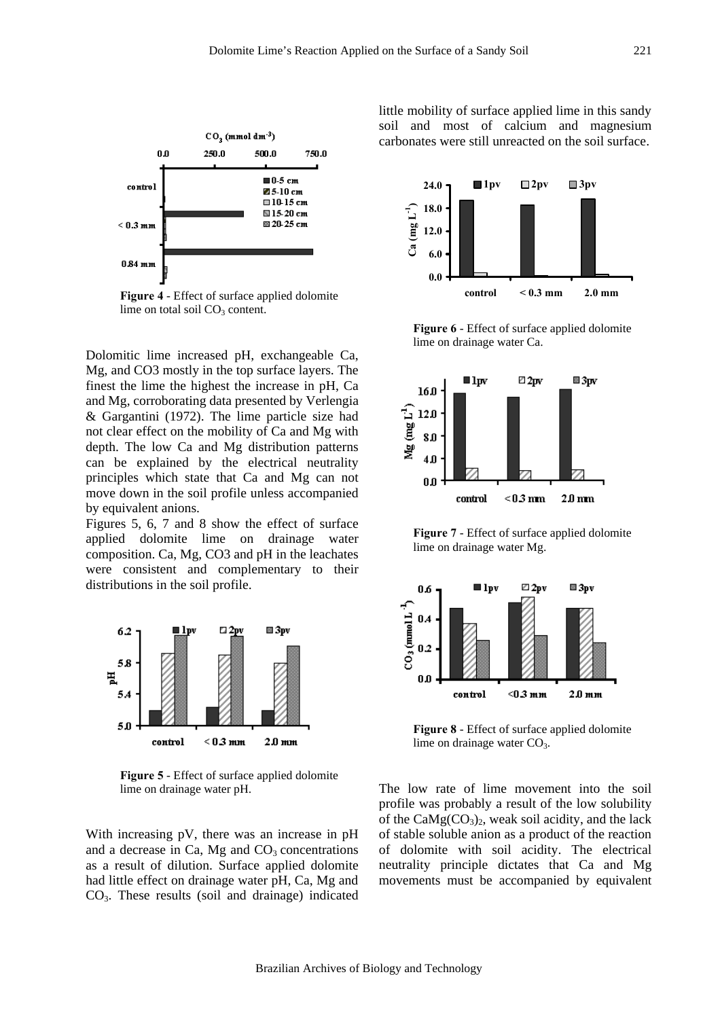

**Figure 4** - Effect of surface applied dolomite lime on total soil  $CO<sub>3</sub>$  content.

Dolomitic lime increased pH, exchangeable Ca, Mg, and CO3 mostly in the top surface layers. The finest the lime the highest the increase in pH, Ca and Mg, corroborating data presented by Verlengia & Gargantini (1972). The lime particle size had not clear effect on the mobility of Ca and Mg with depth. The low Ca and Mg distribution patterns can be explained by the electrical neutrality principles which state that Ca and Mg can not move down in the soil profile unless accompanied by equivalent anions.

Figures 5, 6, 7 and 8 show the effect of surface applied dolomite lime on drainage water composition. Ca, Mg, CO3 and pH in the leachates were consistent and complementary to their distributions in the soil profile.



**Figure 5** - Effect of surface applied dolomite lime on drainage water pH.

With increasing pV, there was an increase in pH and a decrease in Ca, Mg and  $CO<sub>3</sub>$  concentrations as a result of dilution. Surface applied dolomite had little effect on drainage water pH, Ca, Mg and CO3. These results (soil and drainage) indicated little mobility of surface applied lime in this sandy soil and most of calcium and magnesium carbonates were still unreacted on the soil surface.



**Figure 6** - Effect of surface applied dolomite lime on drainage water Ca.



**Figure 7** - Effect of surface applied dolomite lime on drainage water Mg.



**Figure 8** - Effect of surface applied dolomite lime on drainage water  $CO<sub>3</sub>$ .

The low rate of lime movement into the soil profile was probably a result of the low solubility of the  $CaMg(CO<sub>3</sub>)<sub>2</sub>$ , weak soil acidity, and the lack of stable soluble anion as a product of the reaction of dolomite with soil acidity. The electrical neutrality principle dictates that Ca and Mg movements must be accompanied by equivalent